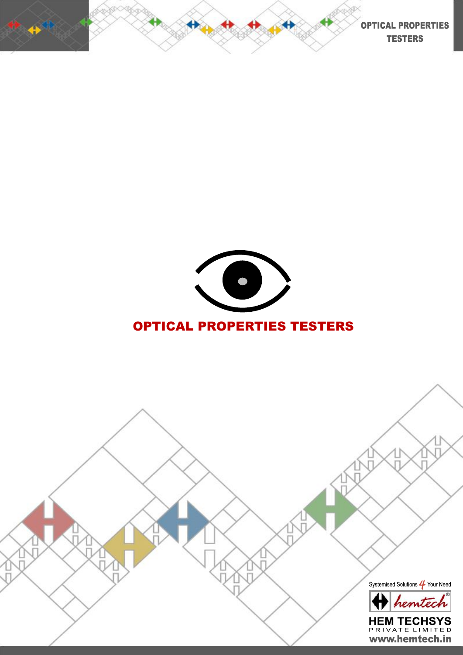



# OPTICAL PROPERTIES TESTERS

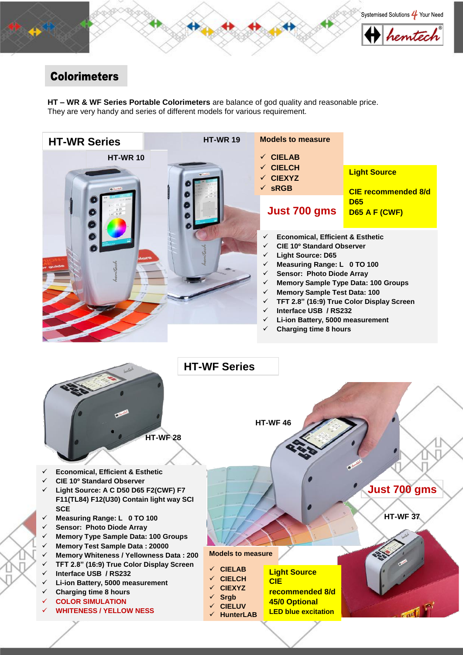Systemised Solutions 4 Your Need



## **Colorimeters**

**HT – WR & WF Series Portable Colorimeters** are balance of god quality and reasonable price. They are very handy and series of different models for various requirement.



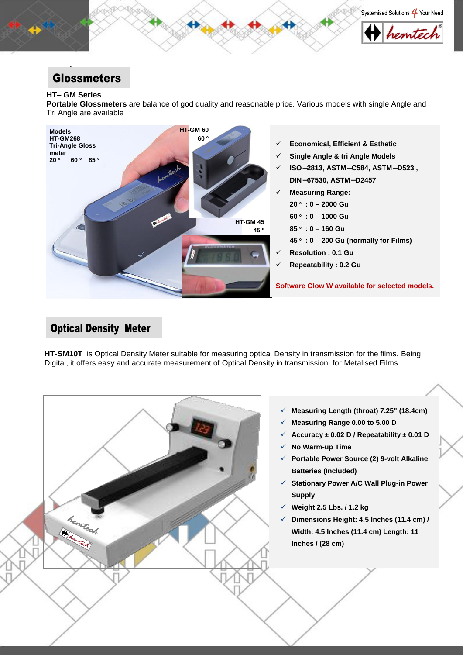Systemised Solutions 4 Your Need



## **Glossmeters**

### **HT– GM Series**

**Portable Glossmeters** are balance of god quality and reasonable price. Various models with single Angle and Tri Angle are available



## **Optical Density Meter**

**HT-SM10T** is Optical Density Meter suitable for measuring optical Density in transmission for the films. Being Digital, it offers easy and accurate measurement of Optical Density in transmission for Metalised Films.